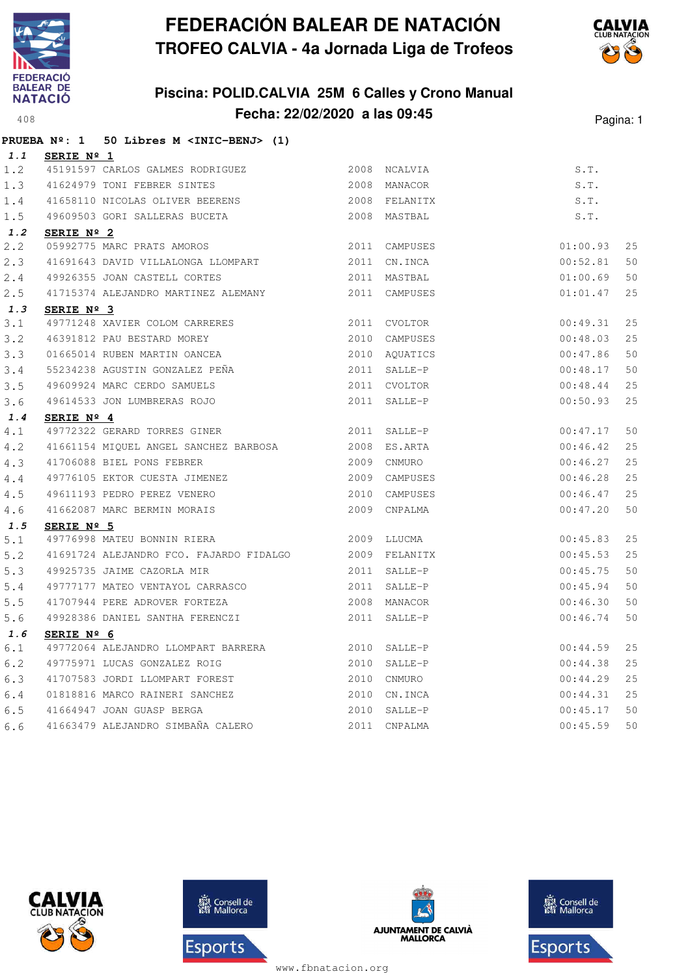

## **Piscina: POLID.CALVIA 25M 6 Calles y Crono Manual Fecha: 22/02/2020 a las 09:45**<sup>408</sup> Pagina: 1



|       | PRUEBA Nº: 1 50 Libres M <inic-benj> (1)</inic-benj>                                        |              |               |          |    |
|-------|---------------------------------------------------------------------------------------------|--------------|---------------|----------|----|
| 1.1   | SERIE Nº 1                                                                                  |              |               |          |    |
| 1.2   |                                                                                             |              |               | S.T.     |    |
| 1.3   | 41624979 TONI FEBRER SINTES                                                                 | 2008 MANACOR |               | S.T.     |    |
| 1.4   | 41658110 NICOLAS OLIVER BEERENS 2008 FELANITX                                               |              |               | S.T.     |    |
| 1.5   | 49609503 GORI SALLERAS BUCETA 2008 MASTBAL                                                  |              |               | S.T.     |    |
| 1.2   | SERIE Nº 2                                                                                  |              |               |          |    |
| 2.2   | ------ AMURUS<br>41691643 DAVID VILLALONGA LLOMPART<br>49926355 JOAN CASTELL COPTES         |              | 2011 CAMPUSES | 01:00.93 | 25 |
| 2.3   |                                                                                             |              | 2011 CN.INCA  | 00:52.81 | 50 |
| 2.4   |                                                                                             |              | 2011 MASTBAL  | 01:00.69 | 50 |
| 2.5   | 41715374 ALEJANDRO MARTINEZ ALEMANY 2011 CAMPUSES                                           |              |               | 01:01.47 | 25 |
| 1.3   | SERIE Nº 3                                                                                  |              |               |          |    |
| 3.1   | 49771248 XAVIER COLOM CARRERES                                                              |              | 2011 CVOLTOR  | 00:49.31 | 25 |
| 3.2   | 46391812 PAU BESTARD MOREY                                                                  |              | 2010 CAMPUSES | 00:48.03 | 25 |
| 3.3   | 01665014 RUBEN MARTIN OANCEA                                                                |              | 2010 AQUATICS | 00:47.86 | 50 |
| 3.4   | 55234238 AGUSTIN GONZALEZ PEÑA                                                              |              | 2011 SALLE-P  | 00:48.17 | 50 |
| 3.5   |                                                                                             |              | 2011 CVOLTOR  | 00:48.44 | 25 |
| 3.6   | 49609924 MARC CERDO SAMUELS<br>49614533 JON LUMBRERAS ROJO                                  |              | 2011 SALLE-P  | 00:50.93 | 25 |
| 1.4   | SERIE Nº 4                                                                                  |              |               |          |    |
| 4.1   | 49772322 GERARD TORRES GINER                                                                |              | 2011 SALLE-P  | 00:47.17 | 50 |
| 4.2   | 41661154 MIQUEL ANGEL SANCHEZ BARBOSA 2008 ES.ARTA                                          |              |               | 00:46.42 | 25 |
| 4.3   | 41706088 BIEL PONS FEBRER                                                                   | 2009 CNMURO  |               | 00:46.27 | 25 |
| 4.4   |                                                                                             |              | 2009 CAMPUSES | 00:46.28 | 25 |
| 4.5   |                                                                                             |              | 2010 CAMPUSES | 00:46.47 | 25 |
| 4.6   | 49776105 EKTOR CUESTA JIMENEZ<br>49611193 PEDRO PEREZ VENERO<br>41662087 MARC BERMIN MORAIS |              | 2009 CNPALMA  | 00:47.20 | 50 |
| 1.5   | SERIE Nº 5                                                                                  |              |               |          |    |
| 5.1   | 2009 LLUCMA<br>49776998 MATEU BONNIN RIERA                                                  |              |               | 00:45.83 | 25 |
| 5.2   | 41691724 ALEJANDRO FCO. FAJARDO FIDALGO 2009 FELANITX                                       |              |               | 00:45.53 | 25 |
| 5.3   | 49925735 JAIME CAZORLA MIR                                                                  | 2011 SALLE-P |               | 00:45.75 | 50 |
| $5.4$ | 49777177 MATEO VENTAYOL CARRASCO                                                            |              | 2011 SALLE-P  | 00:45.94 | 50 |
| 5.5   | 41707944 PERE ADROVER FORTEZA                                                               |              | 2008 MANACOR  | 00:46.30 | 50 |
| 5.6   | 49928386 DANIEL SANTHA FERENCZI                                                             |              | 2011 SALLE-P  | 00:46.74 | 50 |
| 1.6   | SERIE Nº 6                                                                                  |              |               |          |    |
| 6.1   | 49772064 ALEJANDRO LLOMPART BARRERA 2010 SALLE-P                                            |              |               | 00:44.59 | 25 |
| 6.2   | 49775971 LUCAS GONZALEZ ROIG                                                                |              | 2010 SALLE-P  | 00:44.38 | 25 |
| 6.3   | 41707583 JORDI LLOMPART FOREST                                                              |              | 2010 CNMURO   | 00:44.29 | 25 |
| 6.4   | 01818816 MARCO RAINERI SANCHEZ                                                              |              | 2010 CN.INCA  | 00:44.31 | 25 |
| 6.5   |                                                                                             |              |               | 00:45.17 | 50 |
| 6.6   |                                                                                             |              |               | 00:45.59 | 50 |







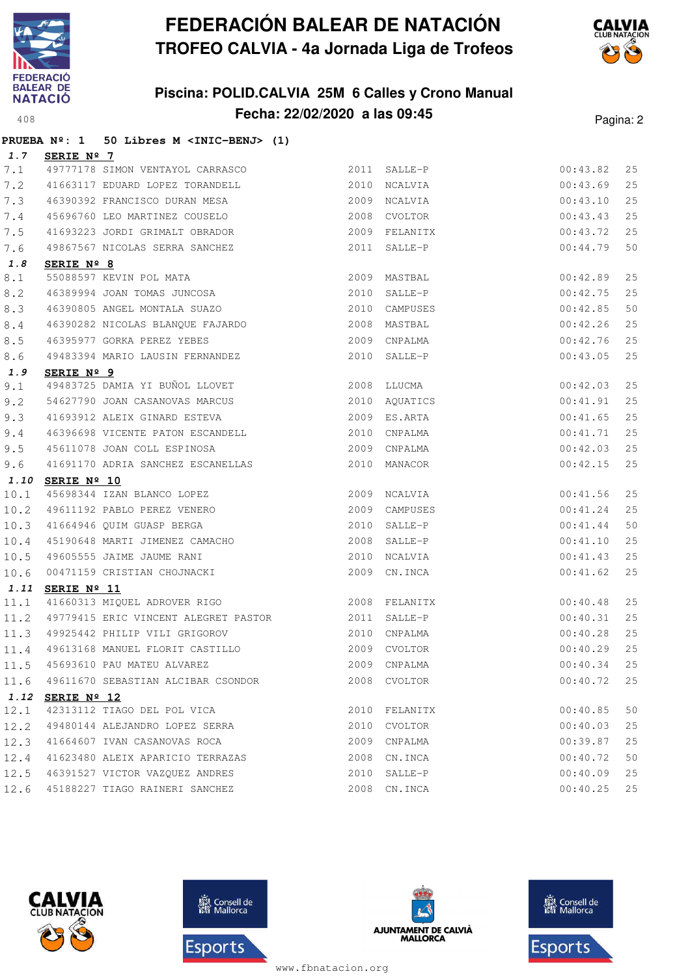

## **Piscina: POLID.CALVIA 25M 6 Calles y Crono Manual Fecha: 22/02/2020 a las 09:45**<sup>408</sup> Pagina: 2



|         |                   | PRUEBA Nº: 1 50 Libres M <inic-benj> (1)</inic-benj>                                     |      |               |          |             |
|---------|-------------------|------------------------------------------------------------------------------------------|------|---------------|----------|-------------|
| 1.7     | <b>SERIE Nº 7</b> |                                                                                          |      |               |          |             |
| 7.1     |                   | 49777178 SIMON VENTAYOL CARRASCO                                                         |      | 2011 SALLE-P  | 00:43.82 | 25          |
| 7.2     |                   | 41663117 EDUARD LOPEZ TORANDELL 2010 NCALVIA                                             |      |               | 00:43.69 | 25          |
| 7.3     |                   | 46390392 FRANCISCO DURAN MESA 2009 NCALVIA                                               |      |               | 00:43.10 | 25          |
| $7\,.4$ |                   |                                                                                          |      |               | 00:43.43 | 25          |
| 7.5     |                   | 41693223 JORDI GRIMALT OBRADOR                                                           |      | 2009 FELANITX | 00:43.72 | 25          |
| 7.6     |                   | 49867567 NICOLAS SERRA SANCHEZ                                                           |      | 2011 SALLE-P  | 00:44.79 | 50          |
| 1.8     | SERIE Nº 8        |                                                                                          |      |               |          |             |
| 8.1     |                   | 55088597 KEVIN POL MATA<br>46389994 JOAN TOMAS JUNCOSA<br>46390805 ANGEL MONTALA SUAZO   |      | 2009 MASTBAL  | 00:42.89 | 25          |
| 8.2     |                   |                                                                                          |      | 2010 SALLE-P  | 00:42.75 | 25          |
| 8.3     |                   |                                                                                          |      | 2010 CAMPUSES | 00:42.85 | 50          |
| $8.4$   |                   | 46390282 NICOLAS BLANQUE FAJARDO                                                         |      | 2008 MASTBAL  | 00:42.26 | 25          |
| 8.5     |                   | 46395977 GORKA PEREZ YEBES                                                               |      | 2009 CNPALMA  | 00:42.76 | 25          |
| 8.6     |                   | 49483394 MARIO LAUSIN FERNANDEZ                                                          |      | 2010 SALLE-P  | 00:43.05 | 25          |
| 1.9     | SERIE Nº 9        |                                                                                          |      |               |          |             |
| 9.1     |                   | 49483725 DAMIA YI BUÑOL LLOVET 2008 LLUCMA                                               |      |               | 00:42.03 | 25          |
| 9.2     |                   | 54627790 JOAN CASANOVAS MARCUS 2010 AQUATICS                                             |      |               | 00:41.91 | 25          |
| 9.3     |                   | 41693912 ALEIX GINARD ESTEVA 2009 ES.ARTA                                                |      |               | 00:41.65 | 25          |
| 9.4     |                   | 46396698 VICENTE PATON ESCANDELL (2010 CNPALMA 45611078 JOAN COLL ESPINOSA (2009 CNPALMA |      |               | 00:41.71 | 25          |
| 9.5     |                   |                                                                                          |      |               | 00:42.03 | 25          |
| 9.6     |                   | 41691170 ADRIA SANCHEZ ESCANELLAS                                                        |      | 2010 MANACOR  | 00:42.15 | 25          |
|         | 1.10 SERIE Nº 10  |                                                                                          |      |               |          |             |
| 10.1    |                   | 45698344 IZAN BLANCO LOPEZ                                                               |      | 2009 NCALVIA  | 00:41.56 | 25          |
| 10.2    |                   | 43636344 ISLN SIGNOS ---<br>49611192 PABLO PEREZ VENERO                                  |      | 2009 CAMPUSES | 00:41.24 | 25          |
| 10.3    |                   | 41664946 QUIM GUASP BERGA                                                                |      | 2010 SALLE-P  | 00:41.44 | 50          |
| 10.4    |                   | 45190648 MARTI JIMENEZ CAMACHO                                                           |      | 2008 SALLE-P  | 00:41.10 | 25          |
| 10.5    |                   |                                                                                          | 2010 | NCALVIA       | 00:41.43 | 25          |
| 10.6    |                   | 49605555 JAIME JAUME RANI<br>00471159 CRISTIAN CHOJNACKI                                 |      | 2009 CN. INCA | 00:41.62 | 25          |
| 1.11    | SERIE Nº 11       | 41660313 MIQUEL ADROVER RIGO 41660313 MIQUEL ADROVER RIGO                                |      |               |          |             |
| 11.1    |                   |                                                                                          |      |               | 00:40.48 | 25          |
| 11.2    |                   |                                                                                          |      |               | 00:40.31 | 25          |
|         |                   | 11.3 49925442 PHILIP VILI GRIGOROV 2010 CNPALMA<br>49613168 MANUEL FLORIT CASTILLO       |      |               | 00:40.28 | 25          |
| 11.4    |                   |                                                                                          |      | 2009 CVOLTOR  | 00:40.29 | 25          |
| 11.5    |                   | 45693610 PAU MATEU ALVAREZ                                                               | 2009 | CNPALMA       | 00:40.34 | 25          |
| 11.6    |                   | 49611670 SEBASTIAN ALCIBAR CSONDOR                                                       |      | 2008 CVOLTOR  | 00:40.72 | 25          |
|         | 1.12 SERIE Nº 12  |                                                                                          |      |               |          |             |
| 12.1    |                   | 42313112 TIAGO DEL POL VICA                                                              | 2010 | FELANITX      | 00:40.85 | 50          |
| 12.2    |                   | 49480144 ALEJANDRO LOPEZ SERRA                                                           | 2010 | CVOLTOR       | 00:40.03 | 25          |
| 12.3    |                   | 41664607 IVAN CASANOVAS ROCA                                                             | 2009 | CNPALMA       | 00:39.87 | $2\sqrt{5}$ |
| 12.4    |                   | 41623480 ALEIX APARICIO TERRAZAS                                                         | 2008 | CN.INCA       | 00:40.72 | 50          |
| 12.5    |                   | 46391527 VICTOR VAZQUEZ ANDRES                                                           | 2010 | SALLE-P       | 00:40.09 | 25          |
| 12.6    |                   | 45188227 TIAGO RAINERI SANCHEZ                                                           | 2008 | CN.INCA       | 00:40.25 | 25          |







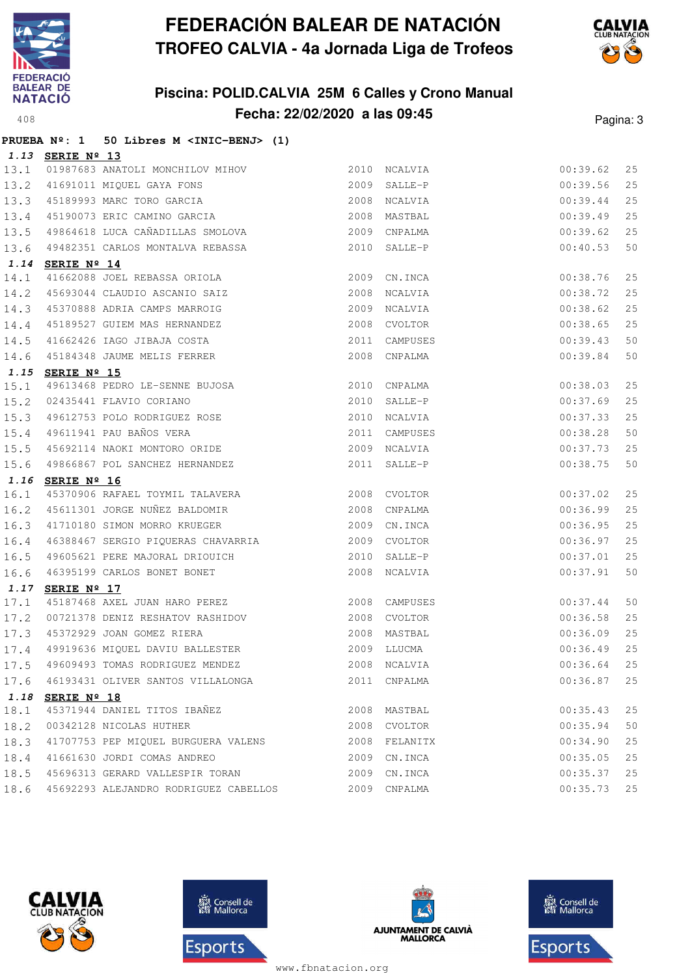

## **Piscina: POLID.CALVIA 25M 6 Calles y Crono Manual Fecha: 22/02/2020 a las 09:45**<sup>408</sup> Pagina: 3



|      |                  | PRUEBA Nº: 1 50 Libres M <inic-benj> (1)</inic-benj>                                                                                                       |      |               |          |    |
|------|------------------|------------------------------------------------------------------------------------------------------------------------------------------------------------|------|---------------|----------|----|
|      | 1.13 SERIE Nº 13 |                                                                                                                                                            |      |               |          |    |
| 13.1 |                  | 01987683 ANATOLI MONCHILOV MIHOV 3010 NCALVIA                                                                                                              |      |               | 00:39.62 | 25 |
| 13.2 |                  |                                                                                                                                                            |      |               | 00:39.56 | 25 |
| 13.3 |                  |                                                                                                                                                            |      |               | 00:39.44 | 25 |
| 13.4 |                  |                                                                                                                                                            |      |               | 00:39.49 | 25 |
| 13.5 |                  | 49864618 LUCA CAÑADILLAS SMOLOVA (2009 CNPALMA                                                                                                             |      |               | 00:39.62 | 25 |
| 13.6 |                  | 49482351 CARLOS MONTALVA REBASSA                                                                                                                           |      | 2010 SALLE-P  | 00:40.53 | 50 |
| 1.14 | SERIE Nº 14      |                                                                                                                                                            |      |               |          |    |
| 14.1 |                  | 41662088 JOEL REBASSA ORIOLA                                                                                                                               | 2009 | CN.INCA       | 00:38.76 | 25 |
| 14.2 |                  | 45693044 CLAUDIO ASCANIO SAIZ                                                                                                                              | 2008 | NCALVIA       | 00:38.72 | 25 |
| 14.3 |                  |                                                                                                                                                            |      | 2009 NCALVIA  | 00:38.62 | 25 |
| 14.4 |                  |                                                                                                                                                            |      | 2008 CVOLTOR  | 00:38.65 | 25 |
| 14.5 |                  |                                                                                                                                                            |      | 2011 CAMPUSES | 00:39.43 | 50 |
| 14.6 |                  | 45055044 CLAODIO ASCANTO SATE<br>45370888 ADRIA CAMPS MARROIG<br>45189527 GUIEM MAS HERNANDEZ<br>41662426 IAGO JIBAJA COSTA<br>45184348 JAUME MELIS FERRER |      | 2008 CNPALMA  | 00:39.84 | 50 |
|      | 1.15 SERIE Nº 15 |                                                                                                                                                            |      |               |          |    |
| 15.1 |                  | 49613468 PEDRO LE-SENNE BUJOSA (2010 CNPALMA)<br>02435441 FLAVIO CORIANO (2010 SALLE-P                                                                     |      | 2010 CNPALMA  | 00:38.03 | 25 |
| 15.2 |                  |                                                                                                                                                            |      |               | 00:37.69 | 25 |
| 15.3 |                  |                                                                                                                                                            | 2010 | NCALVIA       | 00:37.33 | 25 |
| 15.4 |                  | 49612753 POLO RODRIGUEZ ROSE<br>49611941 PAU BAÑOS VERA<br>45692114 NAOKI MONTORO ORIDE                                                                    |      | 2011 CAMPUSES | 00:38.28 | 50 |
| 15.5 |                  |                                                                                                                                                            |      | 2009 NCALVIA  | 00:37.73 | 25 |
| 15.6 |                  | 49866867 POL SANCHEZ HERNANDEZ                                                                                                                             |      | 2011 SALLE-P  | 00:38.75 | 50 |
|      | 1.16 SERIE Nº 16 |                                                                                                                                                            |      |               |          |    |
| 16.1 |                  | 45370906 RAFAEL TOYMIL TALAVERA<br>2008 CVOLTOR<br>CVOLTOR                                                                                                 |      |               | 00:37.02 | 25 |
| 16.2 |                  | 15370900 NAFABU IVINID INBERTIES<br>15611301 JORGE NUÑEZ BALDOMIR<br>1992 - Sir Tiga                                                                       |      |               | 00:36.99 | 25 |
| 16.3 |                  | 41710180 SIMON MORRO KRUEGER                                                                                                                               |      | 2009 CN.INCA  | 00:36.95 | 25 |
| 16.4 |                  | 46388467 SERGIO PIQUERAS CHAVARRIA 2009                                                                                                                    |      | CVOLTOR       | 00:36.97 | 25 |
| 16.5 |                  | 49605621 PERE MAJORAL DRIOUICH<br>46395199 CARLOS BONET BONET                                                                                              | 2010 | SALLE-P       | 00:37.01 | 25 |
| 16.6 |                  |                                                                                                                                                            |      | 2008 NCALVIA  | 00:37.91 | 50 |
|      | 1.17 SERIE Nº 17 |                                                                                                                                                            |      |               |          |    |
| 17.1 |                  | 45187468 AXEL JUAN HARO PEREZ 2008 CAMPUSES                                                                                                                |      |               | 00:37.44 | 50 |
| 17.2 |                  | 00721378 DENIZ RESHATOV RASHIDOV 2008 CVOLTOR                                                                                                              |      |               | 00:36.58 | 25 |
|      |                  | 17.3 45372929 JOAN GOMEZ RIERA 2008 MASTBAL 2008 11.4 49919636 MIQUEL DAVIU BALLESTER 2009 LLUCMA                                                          |      |               | 00:36.09 | 25 |
|      |                  |                                                                                                                                                            |      |               | 00:36.49 | 25 |
| 17.5 |                  | 49609493 TOMAS RODRIGUEZ MENDEZ                                                                                                                            |      | 2008 NCALVIA  | 00:36.64 | 25 |
| 17.6 |                  | 46193431 OLIVER SANTOS VILLALONGA                                                                                                                          |      | 2011 CNPALMA  | 00:36.87 | 25 |
|      | 1.18 SERIE Nº 18 |                                                                                                                                                            |      |               |          |    |
| 18.1 |                  | 45371944 DANIEL TITOS IBAÑEZ                                                                                                                               |      | 2008 MASTBAL  | 00:35.43 | 25 |
| 18.2 |                  | 00342128 NICOLAS HUTHER                                                                                                                                    |      | 2008 CVOLTOR  | 00:35.94 | 50 |
| 18.3 |                  | 41707753 PEP MIQUEL BURGUERA VALENS                                                                                                                        |      | 2008 FELANITX | 00:34.90 | 25 |
| 18.4 |                  | 41661630 JORDI COMAS ANDREO                                                                                                                                | 2009 | CN.INCA       | 00:35.05 | 25 |
| 18.5 |                  | 45696313 GERARD VALLESPIR TORAN                                                                                                                            | 2009 | CN.INCA       | 00:35.37 | 25 |
| 18.6 |                  | 45692293 ALEJANDRO RODRIGUEZ CABELLOS                                                                                                                      |      | 2009 CNPALMA  | 00:35.73 | 25 |







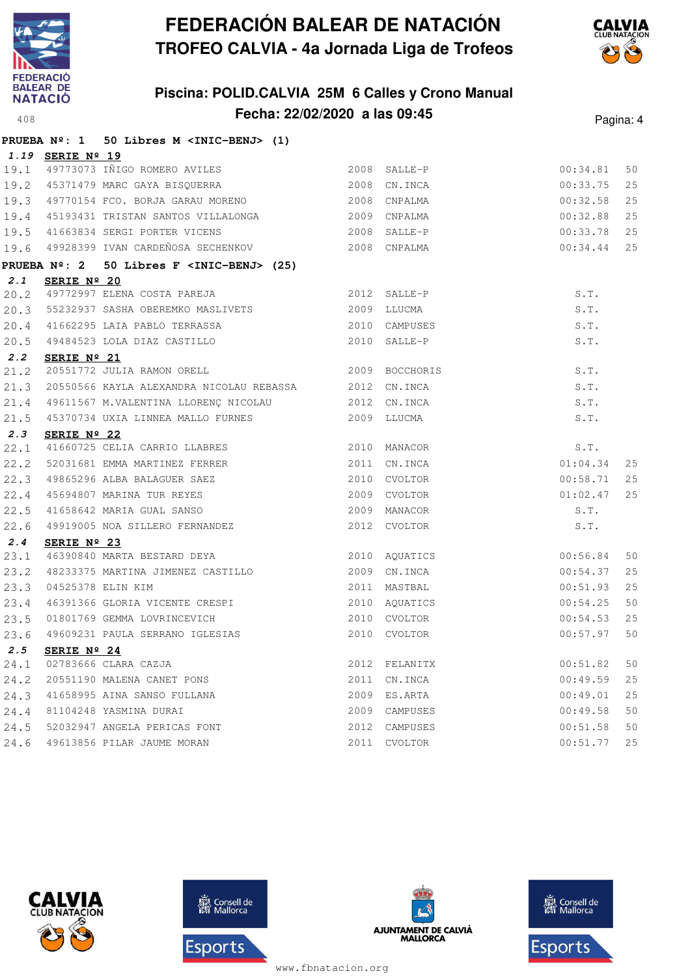

## **Piscina: POLID.CALVIA 25M 6 Calles y Crono Manual Fecha: 22/02/2020 a las 09:45**<sup>408</sup> Pagina: 4



|      |                      | PRUEBA Nº: 1 50 Libres M <inic-benj> (1)</inic-benj>                                                                                                                                                                                                 |      |                |                            |          |
|------|----------------------|------------------------------------------------------------------------------------------------------------------------------------------------------------------------------------------------------------------------------------------------------|------|----------------|----------------------------|----------|
|      | 1.19 SERIE Nº 19     |                                                                                                                                                                                                                                                      |      |                |                            |          |
|      |                      | 19.1 49773073 IÑIGO ROMERO AVILES 2008 SALLE-P<br>19.2 45371479 MARC GAYA BISQUERRA 2008 CN.INCA                                                                                                                                                     |      |                | 00:34.81                   | 50       |
|      |                      |                                                                                                                                                                                                                                                      |      |                | 00:33.75                   | 25       |
|      |                      | 19.3 49770154 FCO. BORJA GARAU MORENO 2008 CNPALMA                                                                                                                                                                                                   |      |                | 00:32.58                   | 25       |
|      |                      |                                                                                                                                                                                                                                                      |      |                | 00:32.88                   | 25       |
|      |                      | 19.4 45193431 TRISTAN SANTOS VILLALONGA 2009 CNPALMA<br>19.5 41663834 SERGI PORTER VICENS 2008 SALLE-P                                                                                                                                               |      |                | 00:33.78                   | 25       |
|      |                      | 19.6 49928399 IVAN CARDEÑOSA SECHENKOV 2008 CNPALMA                                                                                                                                                                                                  |      |                | 00:34.44                   | 25       |
|      |                      | PRUEBA $N^{\circ}$ : 2 50 Libres F <inic-benj> (25)</inic-benj>                                                                                                                                                                                      |      |                |                            |          |
| 2.1  | SERIE Nº 20          |                                                                                                                                                                                                                                                      |      |                |                            |          |
|      |                      | 20.2 49772997 ELENA COSTA PAREJA (2012 SALLE-P                                                                                                                                                                                                       |      |                | S.T.                       |          |
|      |                      | 20.3 55232937 SASHA OBEREMKO MASLIVETS 2009 LLUCMA                                                                                                                                                                                                   |      |                | S.T.                       |          |
|      |                      |                                                                                                                                                                                                                                                      |      |                | S.T.                       |          |
|      |                      | 20.4 41662295 LAIA PABLO TERRASSA 2010 CAMPUSES<br>20.5 49484523 LOLA DIAZ CASTILLO 2010 SALLE-P<br>22 SERIE Nº 21                                                                                                                                   |      |                | S.T.                       |          |
| 2.2  | SERIE Nº 21          |                                                                                                                                                                                                                                                      |      |                |                            |          |
|      |                      | 2.2 <b>SERIE Nº 21</b><br>21.2 20551772 JULIA RAMON ORELL 2009 BOCCHORIS                                                                                                                                                                             |      |                | S.T.                       |          |
|      |                      | 21.3 20550566 KAYLA ALEXANDRA NICOLAU REBASSA 2012 CN.INCA                                                                                                                                                                                           |      |                | S.T.                       |          |
|      |                      | 21.4 49611567 M.VALENTINA LLORENÇ NICOLAU 2012 CN.INCA                                                                                                                                                                                               |      |                | S.T.                       |          |
|      |                      | 21.5 45370734 UXIA LINNEA MALLO FURNES 2009 LLUCMA                                                                                                                                                                                                   |      |                | S.T.                       |          |
| 2.3  | SERIE $N^{\circ}$ 22 |                                                                                                                                                                                                                                                      |      |                |                            |          |
|      |                      | <b>2.3 SERIE Nº 22</b><br>22.1 41660725 CELIA CARRIO LLABRES<br>2010 MANACOR<br>22.2 52031681 EMMA MARTINEZ FERRER<br>2011 CN.INCA<br>49865296 ALBA BALAGUER SAEZ<br>2010 CVOLTOR<br>22.4 45694807 MARINA TUR REYES<br>2009 CVOLTOR<br>22.5 41658642 |      |                | S.T.                       |          |
|      |                      |                                                                                                                                                                                                                                                      |      |                | 01:04.34                   | 25<br>25 |
|      |                      |                                                                                                                                                                                                                                                      |      |                | 00:58.71                   | 25       |
|      |                      |                                                                                                                                                                                                                                                      |      |                | $01:02.47$<br>S.T.<br>S.T. |          |
|      |                      |                                                                                                                                                                                                                                                      |      |                |                            |          |
| 2.4  |                      |                                                                                                                                                                                                                                                      |      |                |                            |          |
| 23.1 | SERIE Nº 23          | SERIE N <sup>2</sup> 46390840 MARTA BESTARD DEYA<br>48233375 MARTINA JIMENEZ CASTILLO 2009 CN.INCA<br>04525378 ELIN KIM 2011 MASTBAL<br>46391366 GLORIA VICENTE CRESPI 2010 AQUATICS<br>01801769 GEMMA LOVRINCEVICH 2010 CVOLTOR<br>1919 COLLECT 2   |      |                | 00:56.84                   | 50       |
| 23.2 |                      |                                                                                                                                                                                                                                                      |      |                | 00:54.37                   | 25       |
| 23.3 |                      |                                                                                                                                                                                                                                                      |      |                | 00:51.93                   | 25       |
| 23.4 |                      |                                                                                                                                                                                                                                                      |      |                | 00:54.25                   | 50       |
| 23.5 |                      |                                                                                                                                                                                                                                                      |      |                | 00:54.53                   | 25       |
| 23.6 |                      | 49609231 PAULA SERRANO IGLESIAS                                                                                                                                                                                                                      |      |                | 00:57.97                   | 50       |
| 2.5  | SERIE Nº 24          |                                                                                                                                                                                                                                                      |      |                |                            |          |
| 24.1 |                      | 02783666 CLARA CAZJA                                                                                                                                                                                                                                 | 2012 | FELANITX       | 00:51.82                   | 50       |
| 24.2 |                      | 20551190 MALENA CANET PONS                                                                                                                                                                                                                           | 2011 | CN.INCA        | 00:49.59                   | 25       |
| 24.3 |                      | 41658995 AINA SANSO FULLANA                                                                                                                                                                                                                          | 2009 | ES.ARTA        | 00:49.01                   | 25       |
| 24.4 |                      | 81104248 YASMINA DURAI                                                                                                                                                                                                                               | 2009 | CAMPUSES       | 00:49.58                   | 50       |
| 24.5 |                      | 52032947 ANGELA PERICAS FONT                                                                                                                                                                                                                         | 2012 | CAMPUSES       | 00:51.58                   | 50       |
| 24.6 |                      | 49613856 PILAR JAUME MORAN                                                                                                                                                                                                                           | 2011 | <b>CVOLTOR</b> | 00:51.77                   | 25       |







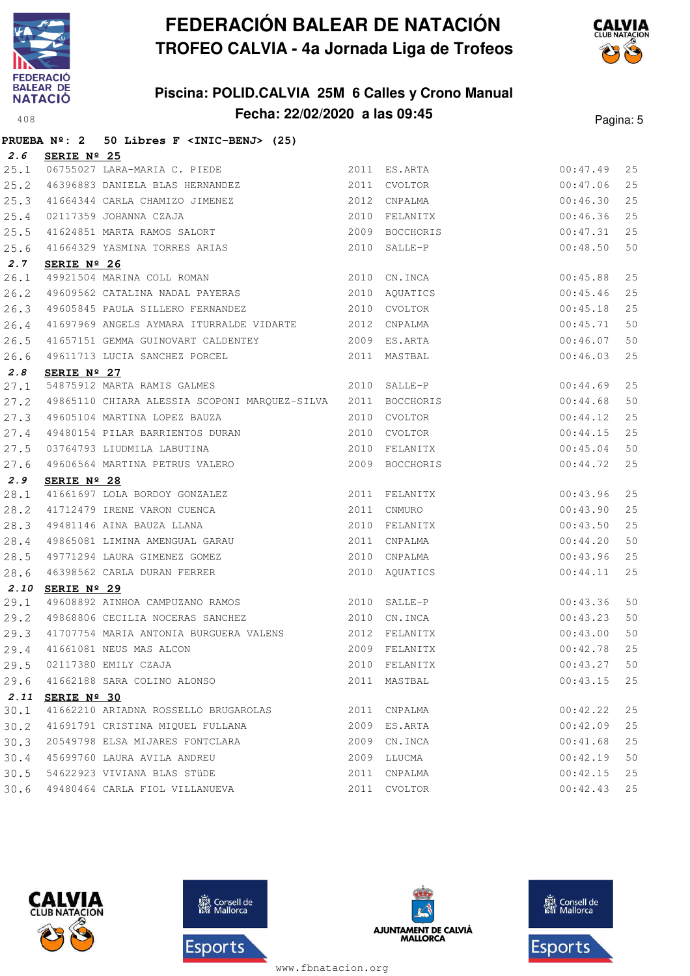

**2.6 SERIE Nº 25**

## **FEDERACIÓN BALEAR DE NATACIÓN TROFEO CALVIA - 4a Jornada Liga de Trofeos**

## **Piscina: POLID.CALVIA 25M 6 Calles y Crono Manual Fecha: 22/02/2020 a las 09:45**<sup>408</sup> Pagina: 5

25.1 06755027 LARA-MARIA C. PIEDE 2011 ES.ARTA 00:47.49 25



**PRUEBA Nº: 2 50 Libres F <INIC-BENJ> (25)**

| 25.2 | 46396883 DANIELA BLAS HERNANDEZ                                |      | 2011 CVOLTOR           | 00:47.06 | 25 |
|------|----------------------------------------------------------------|------|------------------------|----------|----|
| 25.3 | 41664344 CARLA CHAMIZO JIMENEZ                                 |      | 2012 CNPALMA           | 00:46.30 | 25 |
| 25.4 | 02117359 JOHANNA CZAJA                                         |      | 2010 FELANITX 00:46.36 |          | 25 |
| 25.5 | 41624851 MARTA RAMOS SALORT 2009 BOCCHORIS 00:47.31            |      |                        |          | 25 |
|      | 25.6 41664329 YASMINA TORRES ARIAS                             |      | 2010 SALLE-P           | 00:48.50 | 50 |
| 2.7  | SERIE Nº 26                                                    |      |                        |          |    |
| 26.1 | 49921504 MARINA COLL ROMAN 2010 CN.INCA                        |      |                        | 00:45.88 | 25 |
| 26.2 | 49609562 CATALINA NADAL PAYERAS 6 2010 AQUATICS                |      |                        | 00:45.46 | 25 |
| 26.3 | 49605845 PAULA SILLERO FERNANDEZ 2010 CVOLTOR                  |      |                        | 00:45.18 | 25 |
| 26.4 | 41697969 ANGELS AYMARA ITURRALDE VIDARTE 2012 CNPALMA          |      |                        | 00:45.71 | 50 |
| 26.5 | 41657151 GEMMA GUINOVART CALDENTEY 6009 ES.ARTA                |      |                        | 00:46.07 | 50 |
| 26.6 | 2011 MASTBAL<br>49611713 LUCIA SANCHEZ PORCEL                  |      |                        | 00:46.03 | 25 |
| 2.8  | SERIE $N^{\circ}$ 27                                           |      |                        |          |    |
| 27.1 | 54875912 MARTA RAMIS GALMES 2010 SALLE-P                       |      |                        | 00:44.69 | 25 |
| 27.2 | 49865110 CHIARA ALESSIA SCOPONI MARQUEZ-SILVA 2011 BOCCHORIS   |      |                        | 00:44.68 | 50 |
| 27.3 | 49605104 MARTINA LOPEZ BAUZA 600 2010 CVOLTOR                  |      | 00:44.12               |          | 25 |
| 27.4 | 49480154 PILAR BARRIENTOS DURAN 2010 CVOLTOR                   |      |                        | 00:44.15 | 25 |
| 27.5 | 03764793 LIUDMILA LABUTINA (2010 FELANITX                      |      |                        | 00:45.04 | 50 |
| 27.6 | 49606564 MARTINA PETRUS VALERO                                 |      | 2009 BOCCHORIS         | 00:44.72 | 25 |
| 2.9  | SERIE Nº 28                                                    |      |                        |          |    |
| 28.1 | 41661697 LOLA BORDOY GONZALEZ 2011 FELANITX                    |      | 00:43.96               |          | 25 |
| 28.2 | 41712479 IRENE VARON CUENCA 2011 CNMURO                        |      |                        | 00:43.90 | 25 |
| 28.3 | 49481146 AINA BAUZA LLANA                                      |      | 2010 FELANITX          | 00:43.50 | 25 |
|      | 28.4 49865081 LIMINA AMENGUAL GARAU 2011 CNPALMA               |      |                        | 00:44.20 | 50 |
| 28.5 | 49771294 LAURA GIMENEZ GOMEZ 600 2010 CNPALMA                  |      |                        | 00:43.96 | 25 |
| 28.6 | 46398562 CARLA DURAN FERRER                                    |      | 2010 AQUATICS          | 00:44.11 | 25 |
|      | 2.10 SERIE Nº 29                                               |      |                        |          |    |
| 29.1 | 49608892 AINHOA CAMPUZANO RAMOS 2010 SALLE-P                   |      |                        | 00:43.36 | 50 |
| 29.2 | 49868806 CECILIA NOCERAS SANCHEZ                               |      | 2010 CN.INCA           | 00:43.23 | 50 |
| 29.3 | 41707754 MARIA ANTONIA BURGUERA VALENS 2012 FELANITX 600:43.00 |      |                        |          | 50 |
|      | 29.4 41661081 NEUS MAS ALCON                                   |      | 2009 FELANITX          | 00:42.78 | 25 |
| 29.5 | 02117380 EMILY CZAJA                                           |      | 2010 FELANITX          | 00:43.27 | 50 |
| 29.6 | 41662188 SARA COLINO ALONSO                                    |      | 2011 MASTBAL           | 00:43.15 | 25 |
|      | 2.11 SERIE Nº 30                                               |      |                        |          |    |
| 30.1 | 41662210 ARIADNA ROSSELLO BRUGAROLAS                           | 2011 | CNPALMA                | 00:42.22 | 25 |
| 30.2 | 41691791 CRISTINA MIQUEL FULLANA                               | 2009 | ES.ARTA                | 00:42.09 | 25 |
| 30.3 | 20549798 ELSA MIJARES FONTCLARA                                |      | 2009 CN.INCA           | 00:41.68 | 25 |
| 30.4 | 45699760 LAURA AVILA ANDREU                                    | 2009 | LLUCMA                 | 00:42.19 | 50 |
| 30.5 | 54622923 VIVIANA BLAS STÜDE                                    | 2011 | CNPALMA                | 00:42.15 | 25 |
| 30.6 | 49480464 CARLA FIOL VILLANUEVA                                 | 2011 | CVOLTOR                | 00:42.43 | 25 |
|      |                                                                |      |                        |          |    |







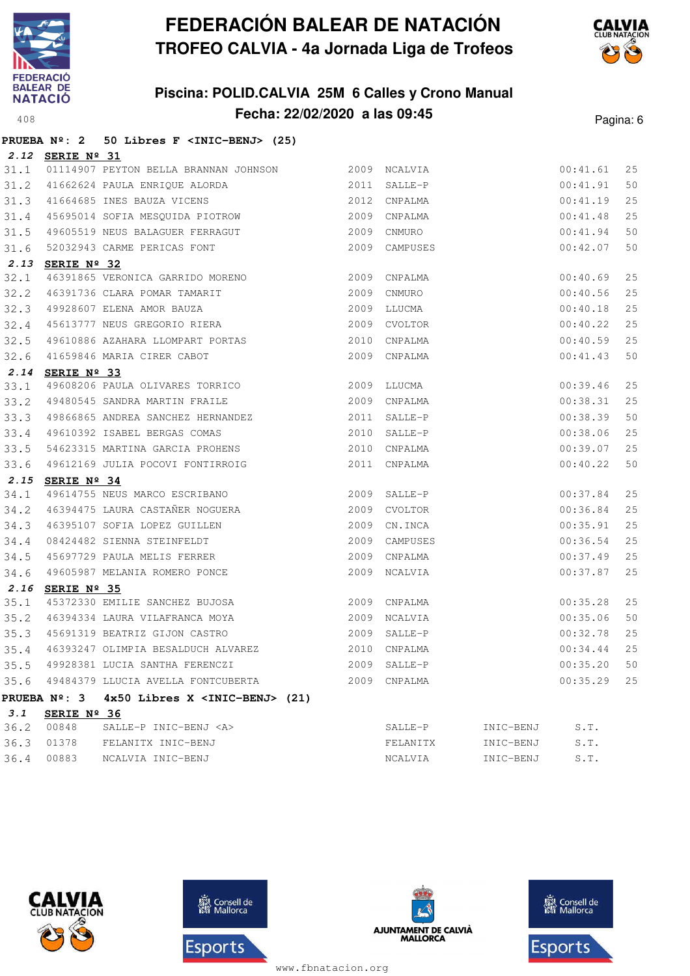

## **Piscina: POLID.CALVIA 25M 6 Calles y Crono Manual Fecha: 22/02/2020 a las 09:45**<sup>408</sup> Pagina: 6



|      |                      | PRUEBA Nº: 2 50 Libres F <inic-benj> (25)</inic-benj>                                                                              |      |               |           |          |    |
|------|----------------------|------------------------------------------------------------------------------------------------------------------------------------|------|---------------|-----------|----------|----|
|      | 2.12 SERIE Nº 31     |                                                                                                                                    |      |               |           |          |    |
| 31.1 |                      | 01114907 PEYTON BELLA BRANNAN JOHNSON 2009 NCALVIA                                                                                 |      |               |           | 00:41.61 | 25 |
| 31.2 |                      | 41662624 PAULA ENRIQUE ALORDA (2011 SALLE-P                                                                                        |      |               |           | 00:41.91 | 50 |
| 31.3 |                      | 2012<br>41664685 INES BAUZA VICENS                                                                                                 |      | CNPALMA       |           | 00:41.19 | 25 |
| 31.4 |                      | 45695014 SOFIA MESQUIDA PIOTROW 2009 CNPALMA                                                                                       |      |               |           | 00:41.48 | 25 |
| 31.5 |                      | 49605519 NEUS BALAGUER FERRAGUT 2009 CNMURO                                                                                        |      |               |           | 00:41.94 | 50 |
| 31.6 |                      | 52032943 CARME PERICAS FONT                                                                                                        |      | 2009 CAMPUSES |           | 00:42.07 | 50 |
|      | 2.13 SERIE Nº 32     |                                                                                                                                    |      |               |           |          |    |
| 32.1 |                      |                                                                                                                                    |      |               |           | 00:40.69 | 25 |
| 32.2 |                      |                                                                                                                                    |      |               |           | 00:40.56 | 25 |
| 32.3 |                      | 46391736 CLARA POMAR TAMARIT<br>49928607 ELENA AMOR BAUZA 19928607 ELENA AMOR BAUZA 19928607 ELENA AMOR BAUZA 19928607 2009 ELUCMA |      |               |           | 00:40.18 | 25 |
| 32.4 |                      |                                                                                                                                    |      |               |           | 00:40.22 | 25 |
| 32.5 |                      | 49610886 AZAHARA LLOMPART PORTAS 2010                                                                                              |      | CNPALMA       |           | 00:40.59 | 25 |
| 32.6 |                      | 41659846 MARIA CIRER CABOT                                                                                                         |      | 2009 CNPALMA  |           | 00:41.43 | 50 |
| 2.14 | SERIE Nº 33          |                                                                                                                                    |      |               |           |          |    |
| 33.1 |                      |                                                                                                                                    |      |               |           | 00:39.46 | 25 |
| 33.2 |                      | 49480545 SANDRA MARTIN FRAILE 2009 CNPALMA                                                                                         |      |               |           | 00:38.31 | 25 |
| 33.3 |                      | 49866865 ANDREA SANCHEZ HERNANDEZ                                                                                                  |      | 2011 SALLE-P  |           | 00:38.39 | 50 |
| 33.4 |                      | 49866865 ANDREA JANVIEL HERRIES.<br>49610392 ISABEL BERGAS COMAS                                                                   |      | 2010 SALLE-P  |           | 00:38.06 | 25 |
| 33.5 |                      | 54623315 MARTINA GARCIA PROHENS                                                                                                    |      | 2010 CNPALMA  |           | 00:39.07 | 25 |
| 33.6 |                      | 49612169 JULIA POCOVI FONTIRROIG                                                                                                   |      | 2011 CNPALMA  |           | 00:40.22 | 50 |
|      | 2.15 SERIE Nº 34     |                                                                                                                                    |      |               |           |          |    |
| 34.1 |                      | 49614755 NEUS MARCO ESCRIBANO 2009 SALLE-P                                                                                         |      |               |           | 00:37.84 | 25 |
| 34.2 |                      | 4901475 LAURA CASTAÑER NOGUERA<br>46394475 LAURA CASTAÑER NOGUERA                                                                  |      | 2009 CVOLTOR  |           | 00:36.84 | 25 |
| 34.3 |                      | 46395107 SOFIA LOPEZ GUILLEN                                                                                                       |      | 2009 CN.INCA  |           | 00:35.91 | 25 |
| 34.4 |                      | 08424482 SIENNA STEINFELDT<br>45697729 PAULA MELIS FERRER<br>49605987 MELANIA ROMERO PONCE                                         | 2009 | CAMPUSES      |           | 00:36.54 | 25 |
| 34.5 |                      |                                                                                                                                    |      | 2009 CNPALMA  |           | 00:37.49 | 25 |
| 34.6 |                      |                                                                                                                                    |      | 2009 NCALVIA  |           | 00:37.87 | 25 |
| 2.16 | SERIE $N^{\circ}$ 35 |                                                                                                                                    |      |               |           |          |    |
| 35.1 |                      | 45372330 EMILIE SANCHEZ BUJOSA 2009 CNPALMA                                                                                        |      |               |           | 00:35.28 | 25 |
| 35.2 |                      | 46394334 LAURA VILAFRANCA MOYA 62009 NCALVIA                                                                                       |      |               |           | 00:35.06 | 50 |
|      |                      |                                                                                                                                    |      |               |           | 00:32.78 | 25 |
|      |                      |                                                                                                                                    |      |               |           | 00:34.44 | 25 |
|      |                      | 35.5 49928381 LUCIA SANTHA FERENCZI                                                                                                | 2009 | SALLE-P       |           | 00:35.20 | 50 |
|      |                      | 35.6 49484379 LLUCIA AVELLA FONTCUBERTA                                                                                            | 2009 | CNPALMA       |           | 00:35.29 | 25 |
|      |                      | PRUEBA Nº: 3 4x50 Libres X <inic-benj> (21)</inic-benj>                                                                            |      |               |           |          |    |
| 3.1  | SERIE $N^{\circ}$ 36 |                                                                                                                                    |      |               |           |          |    |
| 36.2 | 00848                | SALLE-P INIC-BENJ <a></a>                                                                                                          |      | SALLE-P       | INIC-BENJ | S.T.     |    |
| 36.3 |                      | 01378 FELANITX INIC-BENJ                                                                                                           |      | FELANITX      | INIC-BENJ | S.T.     |    |
| 36.4 |                      | 00883 NCALVIA INIC-BENJ                                                                                                            |      | NCALVIA       | INIC-BENJ | S.T.     |    |







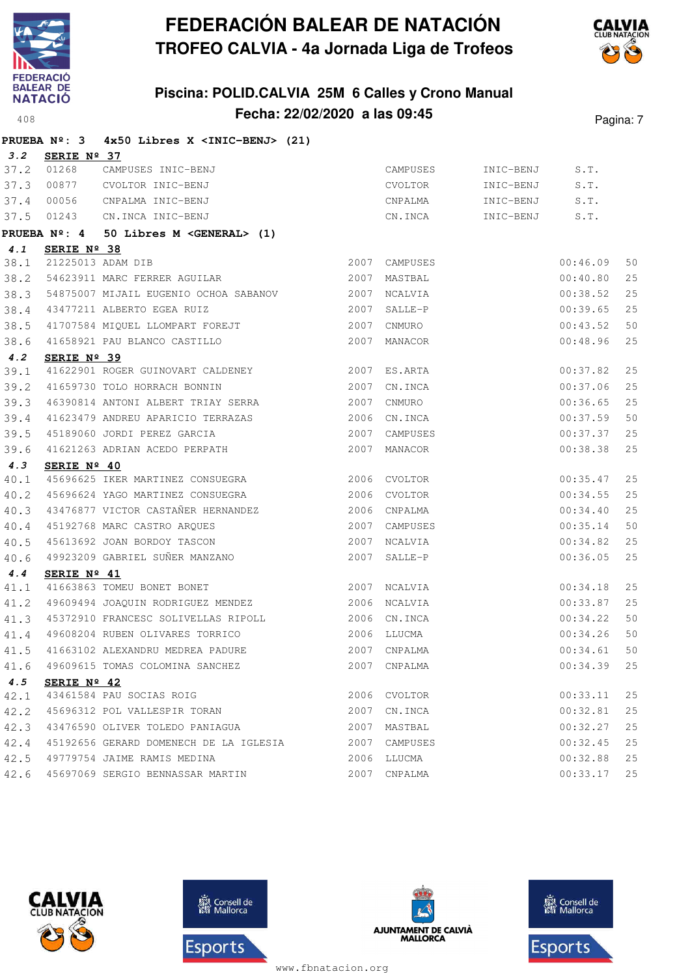





|      | PRUEBA $N^{\circ}$ : 3 | 4x50 Libres X <inic-benj> (21)</inic-benj> |      |               |           |          |    |
|------|------------------------|--------------------------------------------|------|---------------|-----------|----------|----|
| 3.2  | SERIE Nº 37            |                                            |      |               |           |          |    |
| 37.2 | 01268                  | CAMPUSES INIC-BENJ                         |      | CAMPUSES      | INIC-BENJ | S.T.     |    |
| 37.3 | 00877                  | CVOLTOR INIC-BENJ                          |      | CVOLTOR       | INIC-BENJ | S.T.     |    |
| 37.4 | 00056                  | CNPALMA INIC-BENJ                          |      | CNPALMA       | INIC-BENJ | S.T.     |    |
| 37.5 | 01243                  | CN.INCA INIC-BENJ                          |      | CN.INCA       | INIC-BENJ | S.T.     |    |
|      | PRUEBA $N^{\circ}$ : 4 | 50 Libres M < GENERAL> (1)                 |      |               |           |          |    |
| 4.1  | SERIE Nº 38            |                                            |      |               |           |          |    |
| 38.1 |                        | 21225013 ADAM DIB                          |      | 2007 CAMPUSES |           | 00:46.09 | 50 |
| 38.2 |                        | 54623911 MARC FERRER AGUILAR               | 2007 | MASTBAL       |           | 00:40.80 | 25 |
| 38.3 |                        | 54875007 MIJAIL EUGENIO OCHOA SABANOV      | 2007 | NCALVIA       |           | 00:38.52 | 25 |
| 38.4 |                        | 43477211 ALBERTO EGEA RUIZ                 | 2007 | SALLE-P       |           | 00:39.65 | 25 |
| 38.5 |                        | 41707584 MIQUEL LLOMPART FOREJT            | 2007 | CNMURO        |           | 00:43.52 | 50 |
| 38.6 |                        | 41658921 PAU BLANCO CASTILLO               | 2007 | MANACOR       |           | 00:48.96 | 25 |
| 4.2  | SERIE Nº 39            |                                            |      |               |           |          |    |
| 39.1 |                        | 41622901 ROGER GUINOVART CALDENEY          |      | 2007 ES.ARTA  |           | 00:37.82 | 25 |
| 39.2 |                        | 41659730 TOLO HORRACH BONNIN               | 2007 | CN.INCA       |           | 00:37.06 | 25 |
| 39.3 |                        | 46390814 ANTONI ALBERT TRIAY SERRA         | 2007 | CNMURO        |           | 00:36.65 | 25 |
| 39.4 |                        | 41623479 ANDREU APARICIO TERRAZAS          | 2006 | CN.INCA       |           | 00:37.59 | 50 |
| 39.5 |                        | 45189060 JORDI PEREZ GARCIA                |      | 2007 CAMPUSES |           | 00:37.37 | 25 |
| 39.6 |                        | 41621263 ADRIAN ACEDO PERPATH              |      | 2007 MANACOR  |           | 00:38.38 | 25 |
| 4.3  | SERIE $N^{\circ}$ 40   |                                            |      |               |           |          |    |
| 40.1 |                        | 45696625 IKER MARTINEZ CONSUEGRA           |      | 2006 CVOLTOR  |           | 00:35.47 | 25 |
| 40.2 |                        | 45696624 YAGO MARTINEZ CONSUEGRA           |      | 2006 CVOLTOR  |           | 00:34.55 | 25 |
| 40.3 |                        | 43476877 VICTOR CASTAÑER HERNANDEZ         |      | 2006 CNPALMA  |           | 00:34.40 | 25 |
| 40.4 |                        | 45192768 MARC CASTRO ARQUES                | 2007 | CAMPUSES      |           | 00:35.14 | 50 |
| 40.5 |                        | 45613692 JOAN BORDOY TASCON                | 2007 | NCALVIA       |           | 00:34.82 | 25 |
| 40.6 |                        | 49923209 GABRIEL SUÑER MANZANO             | 2007 | SALLE-P       |           | 00:36.05 | 25 |
| 4.4  | SERIE Nº 41            |                                            |      |               |           |          |    |
| 41.1 |                        | 41663863 TOMEU BONET BONET                 |      | 2007 NCALVIA  |           | 00:34.18 | 25 |
| 41.2 |                        | 49609494 JOAQUIN RODRIGUEZ MENDEZ          |      | 2006 NCALVIA  |           | 00:33.87 | 25 |
| 41.3 |                        | 45372910 FRANCESC SOLIVELLAS RIPOLL        |      | 2006 CN.INCA  |           | 00:34.22 | 50 |
| 41.4 |                        | 49608204 RUBEN OLIVARES TORRICO            |      | 2006 LLUCMA   |           | 00:34.26 | 50 |
| 41.5 |                        | 41663102 ALEXANDRU MEDREA PADURE           |      | 2007 CNPALMA  |           | 00:34.61 | 50 |
| 41.6 |                        | 49609615 TOMAS COLOMINA SANCHEZ            |      | 2007 CNPALMA  |           | 00:34.39 | 25 |
| 4.5  | SERIE $N^{\circ}$ 42   |                                            |      |               |           |          |    |
| 42.1 |                        | 43461584 PAU SOCIAS ROIG                   |      | 2006 CVOLTOR  |           | 00:33.11 | 25 |
| 42.2 |                        | 45696312 POL VALLESPIR TORAN               |      | 2007 CN.INCA  |           | 00:32.81 | 25 |
| 42.3 |                        | 43476590 OLIVER TOLEDO PANIAGUA            |      | 2007 MASTBAL  |           | 00:32.27 | 25 |
| 42.4 |                        | 45192656 GERARD DOMENECH DE LA IGLESIA     |      | 2007 CAMPUSES |           | 00:32.45 | 25 |
| 42.5 |                        | 49779754 JAIME RAMIS MEDINA                |      | 2006 LLUCMA   |           | 00:32.88 | 25 |
| 42.6 |                        | 45697069 SERGIO BENNASSAR MARTIN           |      | 2007 CNPALMA  |           | 00:33.17 | 25 |







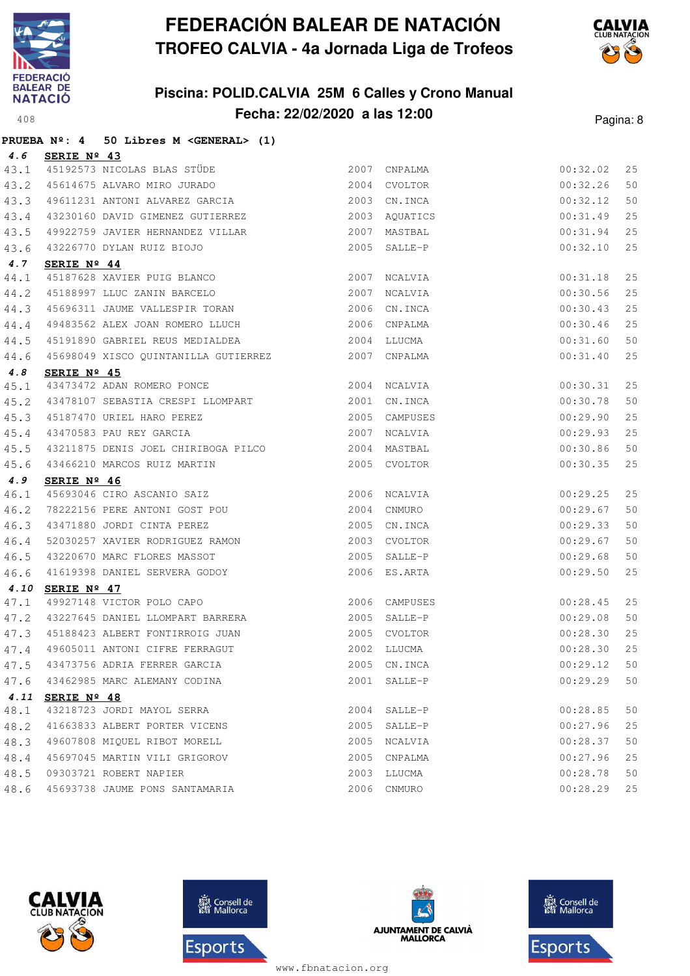

## **Piscina: POLID.CALVIA 25M 6 Calles y Crono Manual** A 408 **Fecha: 22/02/2020 a las 12:00 Pagina: 8**



|      |                      | PRUEBA Nº: 4 50 Libres M <general> (1)</general>                                          |              |                    |                      |    |
|------|----------------------|-------------------------------------------------------------------------------------------|--------------|--------------------|----------------------|----|
| 4.6  | SERIE Nº 43          |                                                                                           |              |                    |                      |    |
| 43.1 |                      | 45192573 NICOLAS BLAS STÜDE                                                               |              | 2007 CNPALMA       | 00:32.02             | 25 |
| 43.2 |                      | 45614675 ALVARO MIRO JURADO                                                               |              | 2004 CVOLTOR       | 00:32.26             | 50 |
| 43.3 |                      | 49611231 ANTONI ALVAREZ GARCIA                                                            | 2003         | CN.INCA            | 00:32.12             | 50 |
| 43.4 |                      | 43230160 DAVID GIMENEZ GUTIERREZ                                                          | 2003         | AQUATICS           | 00:31.49             | 25 |
| 43.5 |                      | 49922759 JAVIER HERNANDEZ VILLAR                                                          | 2007         | MASTBAL            | 00:31.94             | 25 |
| 43.6 |                      | 43226770 DYLAN RUIZ BIOJO                                                                 | 2005         | SALLE-P            | 00:32.10             | 25 |
| 4.7  | SERIE Nº 44          |                                                                                           |              |                    |                      |    |
| 44.1 |                      | 45187628 XAVIER PUIG BLANCO                                                               | 2007         | NCALVIA            | 00:31.18             | 25 |
| 44.2 |                      | 45188997 LLUC ZANIN BARCELO<br>45696311 JAUME VALLESPIR TORAN                             | 2007         | NCALVIA            | 00:30.56             | 25 |
| 44.3 |                      |                                                                                           |              | 2006 CN.INCA       | 00:30.43             | 25 |
| 44.4 |                      | 49483562 ALEX JOAN ROMERO LLUCH                                                           |              | 2006 CNPALMA       | 00:30.46             | 25 |
| 44.5 |                      |                                                                                           |              |                    | 00:31.60             | 50 |
| 44.6 |                      | 45698049 XISCO QUINTANILLA GUTIERREZ 2007 CNPALMA                                         |              |                    | 00:31.40             | 25 |
| 4.8  | SERIE Nº 45          |                                                                                           |              |                    |                      |    |
| 45.1 |                      | 43473472 ADAN ROMERO PONCE 2004 NCALVIA                                                   |              |                    | 00:30.31             | 25 |
| 45.2 |                      | 43478107 SEBASTIA CRESPI LLOMPART 2001                                                    |              | CN.INCA            | 00:30.78             | 50 |
| 45.3 |                      | 45187470 URIEL HARO PEREZ                                                                 | 2005         | CAMPUSES           | 00:29.90             | 25 |
| 45.4 |                      | 43470583 PAU REY GARCIA                                                                   | 2007         | NCALVIA            | 00:29.93             | 25 |
| 45.5 |                      | 43211875 DENIS JOEL CHIRIBOGA PILCO 2004 MASTBAL                                          |              |                    | 00:30.86             | 50 |
| 45.6 |                      | 43466210 MARCOS RUIZ MARTIN                                                               |              | 2005 CVOLTOR       | 00:30.35             | 25 |
| 4.9  | SERIE Nº 46          |                                                                                           |              |                    |                      |    |
| 46.1 |                      | 45693046 CIRO ASCANIO SAIZ<br>78222156 PERE ANTONI GOST POU<br>43471880 JORDI CINTA PEREZ |              | 2006 NCALVIA       | 00:29.25             | 25 |
| 46.2 |                      |                                                                                           |              | 2004 CNMURO        | 00:29.67             | 50 |
| 46.3 |                      |                                                                                           |              | 2005 CN.INCA       | 00:29.33             | 50 |
| 46.4 |                      | 52030257 XAVIER RODRIGUEZ RAMON                                                           | 2003         | CVOLTOR            | 00:29.67             | 50 |
| 46.5 |                      |                                                                                           | 2005         | SALLE-P            | 00:29.68             | 50 |
| 46.6 |                      | 43220670 MARC FLORES MASSOT<br>41619398 DANIEL SERVERA GODOY<br>----                      |              | 2006 ES.ARTA       | 00:29.50             | 25 |
| 4.10 | SERIE $N^{\circ}$ 47 |                                                                                           |              |                    |                      |    |
| 47.1 |                      | 49927148 VICTOR POLO CAPO<br>43227645 DANIEL LLOMPART BARRERA                             |              | 2006 CAMPUSES      | 00:28.45             | 25 |
| 47.2 |                      |                                                                                           | 2005         | SALLE-P            | 00:29.08             | 50 |
| 47.3 |                      | 45188423 ALBERT FONTIRROIG JUAN<br>49605011 ANTONI CIFRE FERRAGUT                         |              | 2005 CVOLTOR       | 00:28.30             | 25 |
| 47.4 |                      |                                                                                           |              | 2002 LLUCMA        | 00:28.30             | 25 |
| 47.5 |                      | 43473756 ADRIA FERRER GARCIA                                                              | 2005         | CN.INCA            | 00:29.12             | 50 |
| 47.6 |                      | 43462985 MARC ALEMANY CODINA                                                              | 2001         | SALLE-P            | 00:29.29             | 50 |
|      | 4.11 SERIE Nº 48     | 43218723 JORDI MAYOL SERRA                                                                |              |                    |                      |    |
| 48.1 |                      |                                                                                           |              | 2004 SALLE-P       | 00:28.85             | 50 |
| 48.2 |                      | 41663833 ALBERT PORTER VICENS                                                             | 2005<br>2005 | SALLE-P<br>NCALVIA | 00:27.96<br>00:28.37 | 25 |
| 48.3 |                      | 49607808 MIQUEL RIBOT MORELL                                                              |              |                    |                      | 50 |
| 48.4 |                      | 45697045 MARTIN VILI GRIGOROV                                                             | 2005         | CNPALMA            | 00:27.96             | 25 |
| 48.5 |                      | 09303721 ROBERT NAPIER                                                                    | 2003         | LLUCMA             | 00:28.78             | 50 |
| 48.6 |                      | 45693738 JAUME PONS SANTAMARIA                                                            | 2006         | CNMURO             | 00:28.29             | 25 |







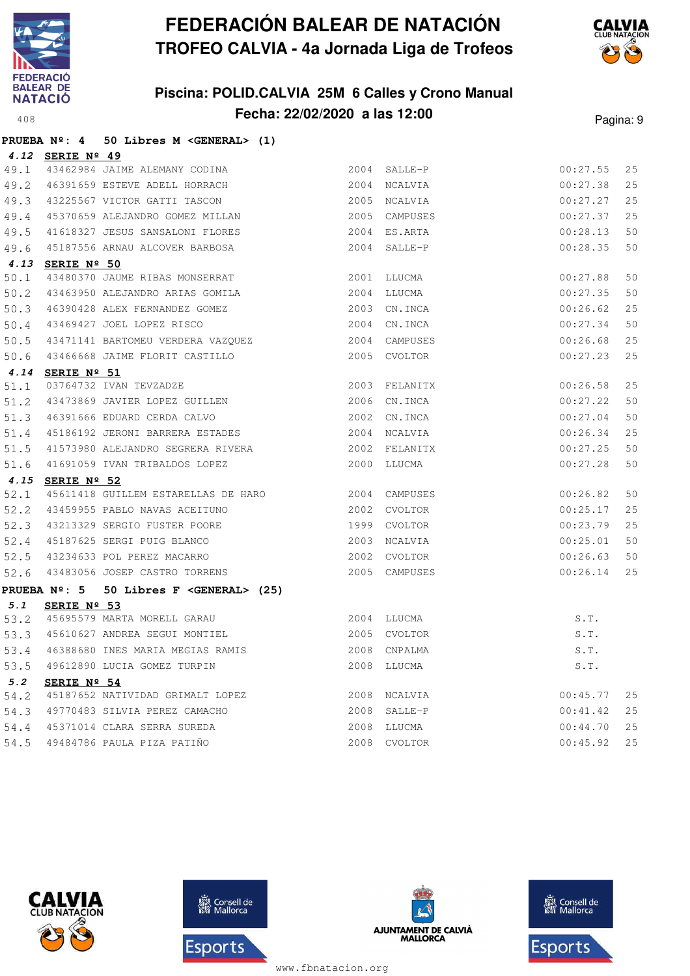

## **Piscina: POLID.CALVIA 25M 6 Calles y Crono Manual Fecha: 22/02/2020 a las 12:00**<br>Pagina: 9



|      |                  | PRUEBA Nº: 4 50 Libres M <general> (1)</general>                                                                                                                                                                                                                           |             |               |                               |        |
|------|------------------|----------------------------------------------------------------------------------------------------------------------------------------------------------------------------------------------------------------------------------------------------------------------------|-------------|---------------|-------------------------------|--------|
|      | 4.12 SERIE Nº 49 |                                                                                                                                                                                                                                                                            |             |               |                               |        |
|      |                  |                                                                                                                                                                                                                                                                            |             |               | 00:27.55                      | 25     |
|      |                  |                                                                                                                                                                                                                                                                            |             |               | 00:27.38                      | 25     |
|      |                  | $\begin{tabular}{lllllllll} \it{49.1} & \tt{43462984\ JAJME ALEMANY CODINA} & & & \tt{2004\ SALLE-P} \\ \it{49.2} & \tt{46391659 \ ESTEVE ADELL HORRACH} & & \tt{2004\ NCALVIA} \\ \it{49.3} & \tt{43225567 VICTOR GATTI TASCON} & & \tt{2005 \ NCALVIA} \\ \end{tabular}$ |             |               | 00:27.27                      | 25     |
| 49.4 |                  | 45370659 ALEJANDRO GOMEZ MILLAN 2005 CAMPUSES                                                                                                                                                                                                                              |             |               | 00:27.37                      | 25     |
| 49.5 |                  | 41618327 JESUS SANSALONI FLORES                                                                                                                                                                                                                                            |             | 2004 ES.ARTA  | 00:28.13                      | 50     |
| 49.6 |                  | 45187556 ARNAU ALCOVER BARBOSA                                                                                                                                                                                                                                             |             | 2004 SALLE-P  | 00:28.35                      | 50     |
|      | 4.13 SERIE Nº 50 |                                                                                                                                                                                                                                                                            |             |               |                               |        |
| 50.1 |                  | 43480370 JAUME RIBAS MONSERRAT                                                                                                                                                                                                                                             |             | 2001 LLUCMA   | 00:27.88                      | 50     |
| 50.2 |                  | 43463950 ALEJANDRO ARIAS GOMILA                                                                                                                                                                                                                                            | 2004 LLUCMA |               | 00:27.35                      | 50     |
| 50.3 |                  |                                                                                                                                                                                                                                                                            |             |               | 00:26.62                      | 25     |
| 50.4 |                  | 46390428 ALEX FERNANDEZ GOMEZ<br>43469427 JOEL LOPEZ RISCO<br>2004 CN.INCA                                                                                                                                                                                                 |             |               | 00:27.34                      | 50     |
| 50.5 |                  |                                                                                                                                                                                                                                                                            |             |               | 00:26.68                      | 25     |
|      |                  | 50.6 43466668 JAIME FLORIT CASTILLO                                                                                                                                                                                                                                        |             | 2005 CVOLTOR  | 00:27.23                      | 25     |
|      | 4.14 SERIE Nº 51 |                                                                                                                                                                                                                                                                            |             |               |                               |        |
| 51.1 |                  |                                                                                                                                                                                                                                                                            |             | 2003 FELANITX | 00:26.58                      | 25     |
| 51.2 |                  |                                                                                                                                                                                                                                                                            |             |               | 00:27.22                      | 50     |
| 51.3 |                  | 46391666 EDUARD CERDA CALVO 2002 CN.INCA                                                                                                                                                                                                                                   |             |               | 00:27.04                      | 50     |
| 51.4 |                  |                                                                                                                                                                                                                                                                            |             |               | 00:26.34                      | 25     |
| 51.5 |                  |                                                                                                                                                                                                                                                                            |             |               | 00:27.25                      | 50     |
| 51.6 |                  |                                                                                                                                                                                                                                                                            |             |               | 00:27.28                      | 50     |
|      | 4.15 SERIE Nº 52 |                                                                                                                                                                                                                                                                            |             |               |                               |        |
| 52.1 |                  |                                                                                                                                                                                                                                                                            |             |               | 00:26.82                      | 50     |
|      |                  |                                                                                                                                                                                                                                                                            |             |               | 00:25.17                      | 25     |
|      |                  | 52.2 43459955 PABLO NAVAS ACEITUNO 2002 CVOLTOR<br>52.3 43213329 SERGIO FUSTER POORE 1999 CVOLTOR<br>52.5 43234633 POL PEREZ MACARRO 2002 CVOLTOR<br>52.5 43234633 POL PEREZ MACARRO 2002 CVOLTOR<br>52.6 43483056 JOSEP CASTRO TORREN                                     |             |               | 00:23.79                      | 25     |
|      |                  |                                                                                                                                                                                                                                                                            |             |               | 00:25.01                      | 50     |
|      |                  |                                                                                                                                                                                                                                                                            |             |               | 00:26.63                      | 50     |
|      |                  |                                                                                                                                                                                                                                                                            |             | 2005 CAMPUSES | 00:26.14                      | 25     |
|      |                  | PRUEBA $N^2$ : 5 50 Libres F <general> (25)</general>                                                                                                                                                                                                                      |             |               |                               |        |
| 5.1  | SERIE Nº 53      |                                                                                                                                                                                                                                                                            |             |               |                               |        |
|      |                  | 53.2 45695579 MARTA MORELL GARAU 2004 LLUCMA<br>53.3 45610627 ANDREA SEGUI MONTIEL 2005 CVOLTOR<br>53.4 46388680 INES MARIA MEGIAS RAMIS 2008 CNPALMA                                                                                                                      |             |               | S.T.                          |        |
|      |                  |                                                                                                                                                                                                                                                                            |             |               | S.T.                          |        |
|      |                  |                                                                                                                                                                                                                                                                            |             |               | S.T.                          |        |
| 53.5 |                  | 49612890 LUCIA GOMEZ TURPIN                                                                                                                                                                                                                                                |             | 2008 LLUCMA   | $\texttt{S}$ . $\texttt{T}$ . |        |
| 5.2  | SERIE Nº 54      |                                                                                                                                                                                                                                                                            |             |               |                               |        |
| 54.2 |                  | 45187652 NATIVIDAD GRIMALT LOPEZ                                                                                                                                                                                                                                           | 2008        | NCALVIA       | 00:45.77                      | 25     |
| 54.3 |                  | 49770483 SILVIA PEREZ CAMACHO                                                                                                                                                                                                                                              | 2008        | SALLE-P       | 00:41.42                      | $2\,5$ |
| 54.4 |                  | 45371014 CLARA SERRA SUREDA                                                                                                                                                                                                                                                | 2008        | LLUCMA        | 00:44.70                      | 25     |
| 54.5 |                  | 49484786 PAULA PIZA PATIÑO                                                                                                                                                                                                                                                 | 2008        | CVOLTOR       | 00:45.92                      | $2\,5$ |







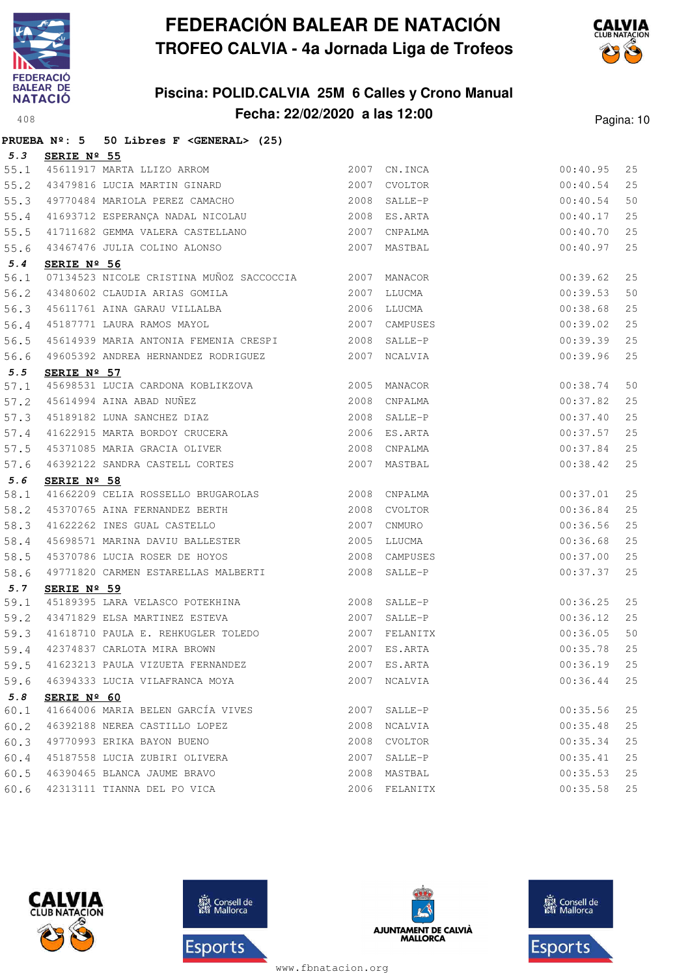

## **Piscina: POLID.CALVIA 25M 6 Calles y Crono Manual Fecha: 22/02/2020 a las 12:00**<sup>408</sup> Pagina: 10



|      | PRUEBA $N^{\circ}$ : 5<br>50 Libres F < GENERAL> (25)                                                                                       |      |               |          |    |
|------|---------------------------------------------------------------------------------------------------------------------------------------------|------|---------------|----------|----|
| 5.3  | SERIE Nº 55                                                                                                                                 |      |               |          |    |
| 55.1 | 45611917 MARTA LLIZO ARROM<br>43479816 LUCIA MARTIN GINARD                                                                                  |      | 2007 CN. INCA | 00:40.95 | 25 |
| 55.2 |                                                                                                                                             | 2007 | CVOLTOR       | 00:40.54 | 25 |
| 55.3 | 49770484 MARIOLA PEREZ CAMACHO 2008 SALLE-P                                                                                                 |      |               | 00:40.54 | 50 |
| 55.4 | 41693712 ESPERANÇA NADAL NICOLAU                                                                                                            |      | 2008 ES.ARTA  | 00:40.17 | 25 |
| 55.5 | 41711682 GEMMA VALERA CASTELLANO 2007                                                                                                       |      | CNPALMA       | 00:40.70 | 25 |
| 55.6 | 43467476 JULIA COLINO ALONSO                                                                                                                | 2007 | MASTBAL       | 00:40.97 | 25 |
| 5.4  | SERIE Nº 56                                                                                                                                 |      |               |          |    |
| 56.1 | 07134523 NICOLE CRISTINA MUÑOZ SACCOCCIA 2007 MANACOR                                                                                       |      |               | 00:39.62 | 25 |
| 56.2 | 43480602 CLAUDIA ARIAS GOMILA<br>AFGAARGA ARIA                                                                                              |      | 2007 LLUCMA   | 00:39.53 | 50 |
| 56.3 | 45611761 AINA GARAU VILLALBA                                                                                                                |      | 2006 LLUCMA   | 00:38.68 | 25 |
| 56.4 | 45187771 LAURA RAMOS MAYOL                                                                                                                  |      | 2007 CAMPUSES | 00:39.02 | 25 |
| 56.5 | 45614939 MARIA ANTONIA FEMENIA CRESPI 2008 SALLE-P                                                                                          |      |               | 00:39.39 | 25 |
| 56.6 | 49605392 ANDREA HERNANDEZ RODRIGUEZ                                                                                                         |      | 2007 NCALVIA  | 00:39.96 | 25 |
| 5.5  | SERIE $N^{\circ}$ 57                                                                                                                        |      |               |          |    |
| 57.1 | 45698531 LUCIA CARDONA KOBLIKZOVA 2005                                                                                                      |      | MANACOR       | 00:38.74 | 50 |
| 57.2 |                                                                                                                                             |      | CNPALMA       | 00:37.82 | 25 |
| 57.3 |                                                                                                                                             |      | 2008 SALLE-P  | 00:37.40 | 25 |
| 57.4 |                                                                                                                                             |      | 2006 ES.ARTA  | 00:37.57 | 25 |
| 57.5 | 45614994 AINA ABAD NUÑEZ 2008<br>45189182 LUNA SANCHEZ DIAZ 2008<br>41622915 MARTA BORDOY CRUCERA 2006<br>45371085 MARIA GRACIA OLIVER 2008 |      | CNPALMA       | 00:37.84 | 25 |
| 57.6 | 46392122 SANDRA CASTELL CORTES                                                                                                              | 2007 | MASTBAL       | 00:38.42 | 25 |
| 5.6  | SERIE $N^{\circ}$ 58                                                                                                                        |      |               |          |    |
| 58.1 | 41662209 CELIA ROSSELLO BRUGAROLAS 2008 CNPALMA                                                                                             |      |               | 00:37.01 | 25 |
| 58.2 | 45370765 AINA FERNANDEZ BERTH                                                                                                               |      | 2008 CVOLTOR  | 00:36.84 | 25 |
| 58.3 | 41622262 INES GUAL CASTELLO                                                                                                                 | 2007 | CNMURO        | 00:36.56 | 25 |
| 58.4 | 45698571 MARINA DAVIU BALLESTER                                                                                                             | 2005 | LLUCMA        | 00:36.68 | 25 |
| 58.5 | 45370786 LUCIA ROSER DE HOYOS                                                                                                               |      | 2008 CAMPUSES | 00:37.00 | 25 |
| 58.6 | 49771820 CARMEN ESTARELLAS MALBERTI                                                                                                         |      | 2008 SALLE-P  | 00:37.37 | 25 |
| 5.7  | SERIE $N^{\circ}$ 59                                                                                                                        |      |               |          |    |
| 59.1 |                                                                                                                                             |      | SALLE-P       | 00:36.25 | 25 |
| 59.2 | 2007<br>43471829 ELSA MARTINEZ ESTEVA                                                                                                       |      | SALLE-P       | 00:36.12 | 25 |
| 59.3 | 41618710 PAULA E. REHKUGLER TOLEDO<br>42374837 CARLOTA MIRA BROWN                                                                           |      | 2007 FELANITX | 00:36.05 | 50 |
| 59.4 |                                                                                                                                             | 2007 | ES.ARTA       | 00:35.78 | 25 |
| 59.5 | 41623213 PAULA VIZUETA FERNANDEZ                                                                                                            |      | 2007 ES.ARTA  | 00:36.19 | 25 |
| 59.6 | 46394333 LUCIA VILAFRANCA MOYA                                                                                                              | 2007 | NCALVIA       | 00:36.44 | 25 |
| 5.8  | SERIE $N^{\circ}$ 60                                                                                                                        |      |               |          |    |
| 60.1 | 41664006 MARIA BELEN GARCÍA VIVES                                                                                                           | 2007 | SALLE-P       | 00:35.56 | 25 |
| 60.2 | 46392188 NEREA CASTILLO LOPEZ                                                                                                               | 2008 | NCALVIA       | 00:35.48 | 25 |
| 60.3 | 49770993 ERIKA BAYON BUENO                                                                                                                  | 2008 | CVOLTOR       | 00:35.34 | 25 |
| 60.4 | 45187558 LUCIA ZUBIRI OLIVERA                                                                                                               | 2007 | SALLE-P       | 00:35.41 | 25 |
| 60.5 | 46390465 BLANCA JAUME BRAVO                                                                                                                 | 2008 | MASTBAL       | 00:35.53 | 25 |
| 60.6 | 42313111 TIANNA DEL PO VICA                                                                                                                 |      | 2006 FELANITX | 00:35.58 | 25 |







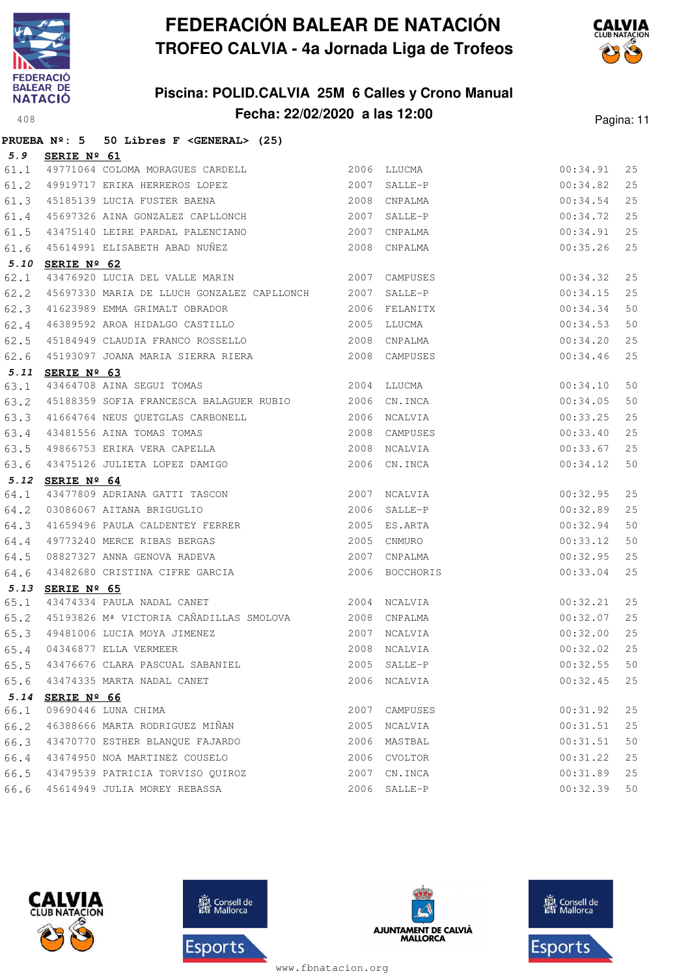

## **Piscina: POLID.CALVIA 25M 6 Calles y Crono Manual Fecha: 22/02/2020 a las 12:00**<sup>408</sup> Pagina: 11



|      | PRUEBA $N^2$ : 5 50 Libres F < GENERAL> (25)                                                                                                                                                           |      |                                |          |    |
|------|--------------------------------------------------------------------------------------------------------------------------------------------------------------------------------------------------------|------|--------------------------------|----------|----|
| 5.9  | SERIE Nº 61                                                                                                                                                                                            |      |                                |          |    |
| 61.1 | 49771064 COLOMA MORAGUES CARDELL 2006 LLUCMA                                                                                                                                                           |      |                                | 00:34.91 | 25 |
| 61.2 | 49919717 ERIKA HERREROS LOPEZ 2007 SALLE-P                                                                                                                                                             |      |                                | 00:34.82 | 25 |
|      | 61.3 45185139 LUCIA FUSTER BAENA                                                                                                                                                                       |      |                                | 00:34.54 | 25 |
| 61.4 | 45185139 LUCIA FUSTER BAENA (2008)<br>45697326 AINA GONZALEZ CAPLLONCH (2007) SALLE-P                                                                                                                  |      |                                | 00:34.72 | 25 |
| 61.5 |                                                                                                                                                                                                        |      | CNPALMA                        | 00:34.91 | 25 |
| 61.6 | 45614991 ELISABETH ABAD NUÑEZ (2008 CNPALMA                                                                                                                                                            |      |                                | 00:35.26 | 25 |
|      | 5.10 SERIE Nº 62                                                                                                                                                                                       |      |                                |          |    |
| 62.1 | 43476920 LUCIA DEL VALLE MARIN 2007 CAMPUSES                                                                                                                                                           |      |                                | 00:34.32 | 25 |
| 62.2 | 45697330 MARIA DE LLUCH GONZALEZ CAPLLONCH 2007 SALLE-P                                                                                                                                                |      |                                | 00:34.15 | 25 |
| 62.3 | 41623989 EMMA GRIMALT OBRADOR                                                                                                                                                                          |      | 2006 FELANITX                  | 00:34.34 | 50 |
| 62.4 | 46389592 AROA HIDALGO CASTILLO 2005 LLUCMA                                                                                                                                                             |      |                                | 00:34.53 | 50 |
| 62.5 |                                                                                                                                                                                                        |      |                                | 00:34.20 | 25 |
| 62.6 | 45193097 JOANA MARIA SIERRA RIERA (2008 CAMPUSES                                                                                                                                                       |      |                                | 00:34.46 | 25 |
|      | 5.11 SERIE Nº 63                                                                                                                                                                                       |      |                                |          |    |
| 63.1 | 43464708 AINA SEGUI TOMAS 2004 LLUCMA                                                                                                                                                                  |      |                                | 00:34.10 | 50 |
| 63.2 | 45188359 SOFIA FRANCESCA BALAGUER RUBIO 2006 CN.INCA                                                                                                                                                   |      |                                | 00:34.05 | 50 |
|      |                                                                                                                                                                                                        |      |                                | 00:33.25 | 25 |
|      | 63.3 41664764 NEUS QUETGLAS CARBONELL 2006 NCALVIA<br>63.4 43481556 AINA TOMAS TOMAS 2008 CAMPUSES<br>63.5 49866753 ERIKA VERA CAPELLA 2008 NCALVIA<br>63.6 43475126 JULIETA LOPEZ DAMIGO 2006 CN.INCA |      | 2008 CAMPUSES                  | 00:33.40 | 25 |
|      |                                                                                                                                                                                                        |      |                                | 00:33.67 | 25 |
|      |                                                                                                                                                                                                        |      |                                | 00:34.12 | 50 |
| 64.1 | 5.12 SERIE Nº 64                                                                                                                                                                                       |      | 2007 NCALVIA                   | 00:32.95 | 25 |
| 64.2 | 43477809 ADRIANA GATTI TASCON<br>03086067 AITANA BRIGUGLIO                                                                                                                                             |      | 2006 SALLE-P                   | 00:32.89 | 25 |
| 64.3 | 41659496 PAULA CALDENTEY FERRER 2005 ES.ARTA                                                                                                                                                           |      |                                | 00:32.94 | 50 |
| 64.4 |                                                                                                                                                                                                        | 2005 | CNMURO                         | 00:33.12 | 50 |
| 64.5 |                                                                                                                                                                                                        |      |                                | 00:32.95 | 25 |
| 64.6 | 49773240 MERCE RIBAS BERGAS<br>08827327 ANNA GENOVA RADEVA<br>43482680 CRISTINA CIFRE GARCIA                                                                                                           |      | 2007 CNPALMA<br>2006 BOCCHORIS | 00:33.04 | 25 |
| 5.13 | SERIE Nº 65                                                                                                                                                                                            |      |                                |          |    |
| 65.1 | 2004 NCALVIA<br>43474334 PAULA NADAL CANET                                                                                                                                                             |      |                                | 00:32.21 | 25 |
| 65.2 | 45193826 Mª VICTORIA CAÑADILLAS SMOLOVA 2008 CNPALMA                                                                                                                                                   |      |                                | 00:32.07 | 25 |
| 65.3 | 49481006 LUCIA MOYA JIMENEZ                                                                                                                                                                            |      | 2007 NCALVIA                   | 00:32.00 | 25 |
| 65.4 | 04346877 ELLA VERMEER                                                                                                                                                                                  |      | 2008 NCALVIA                   | 00:32.02 | 25 |
| 65.5 | 43476676 CLARA PASCUAL SABANIEL                                                                                                                                                                        |      | 2005 SALLE-P                   | 00:32.55 | 50 |
| 65.6 | 43474335 MARTA NADAL CANET                                                                                                                                                                             |      | 2006 NCALVIA                   | 00:32.45 | 25 |
|      | 5.14 SERIE Nº 66                                                                                                                                                                                       |      |                                |          |    |
| 66.1 | 09690446 LUNA CHIMA                                                                                                                                                                                    |      | 2007 CAMPUSES                  | 00:31.92 | 25 |
| 66.2 | 46388666 MARTA RODRIGUEZ MIÑAN                                                                                                                                                                         | 2005 | NCALVIA                        | 00:31.51 | 25 |
| 66.3 | 43470770 ESTHER BLANOUE FAJARDO                                                                                                                                                                        | 2006 | MASTBAL                        | 00:31.51 | 50 |
| 66.4 | 43474950 NOA MARTINEZ COUSELO                                                                                                                                                                          | 2006 | CVOLTOR                        | 00:31.22 | 25 |
| 66.5 | 43479539 PATRICIA TORVISO QUIROZ                                                                                                                                                                       | 2007 | CN.INCA                        | 00:31.89 | 25 |
| 66.6 | 45614949 JULIA MOREY REBASSA                                                                                                                                                                           |      | 2006 SALLE-P                   | 00:32.39 | 50 |